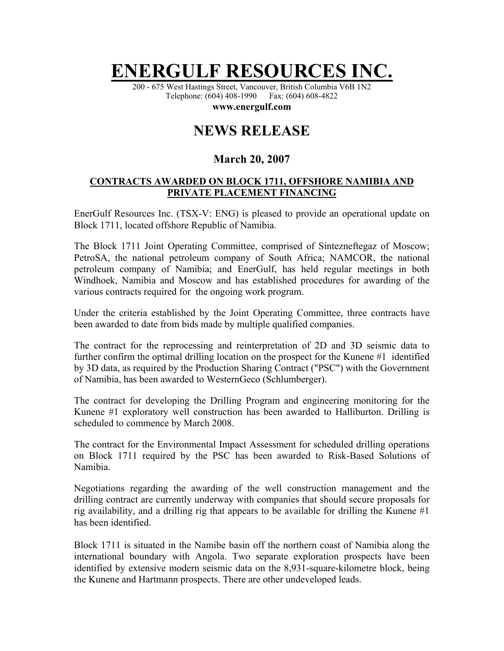## **ENERGULF RESOURCES**

200 - 675 West Hastings Street, Vancouver, British Columbia V6B 1N2 Telephone: (604) 408-1990 Fax: (604) 608-4822

**www.energulf.com** 

## **NEWS RELEASE**

## **March 20, 2007**

## **CONTRACTS AWARDED ON BLOCK 1711, OFFSHORE NAMIBIA AND PRIVATE PLACEMENT FINANCING**

EnerGulf Resources Inc. (TSX-V: ENG) is pleased to provide an operational update on Block 1711, located offshore Republic of Namibia.

The Block 1711 Joint Operating Committee, comprised of Sintezneftegaz of Moscow; PetroSA, the national petroleum company of South Africa; NAMCOR, the national petroleum company of Namibia; and EnerGulf, has held regular meetings in both Windhoek, Namibia and Moscow and has established procedures for awarding of the various contracts required for the ongoing work program.

Under the criteria established by the Joint Operating Committee, three contracts have been awarded to date from bids made by multiple qualified companies.

The contract for the reprocessing and reinterpretation of 2D and 3D seismic data to further confirm the optimal drilling location on the prospect for the Kunene #1 identified by 3D data, as required by the Production Sharing Contract ("PSC") with the Government of Namibia, has been awarded to WesternGeco (Schlumberger).

The contract for developing the Drilling Program and engineering monitoring for the Kunene #1 exploratory well construction has been awarded to Halliburton. Drilling is scheduled to commence by March 2008.

The contract for the Environmental Impact Assessment for scheduled drilling operations on Block 1711 required by the PSC has been awarded to Risk-Based Solutions of Namibia.

Negotiations regarding the awarding of the well construction management and the drilling contract are currently underway with companies that should secure proposals for rig availability, and a drilling rig that appears to be available for drilling the Kunene #1 has been identified.

Block 1711 is situated in the Namibe basin off the northern coast of Namibia along the international boundary with Angola. Two separate exploration prospects have been identified by extensive modern seismic data on the 8,931-square-kilometre block, being the Kunene and Hartmann prospects. There are other undeveloped leads.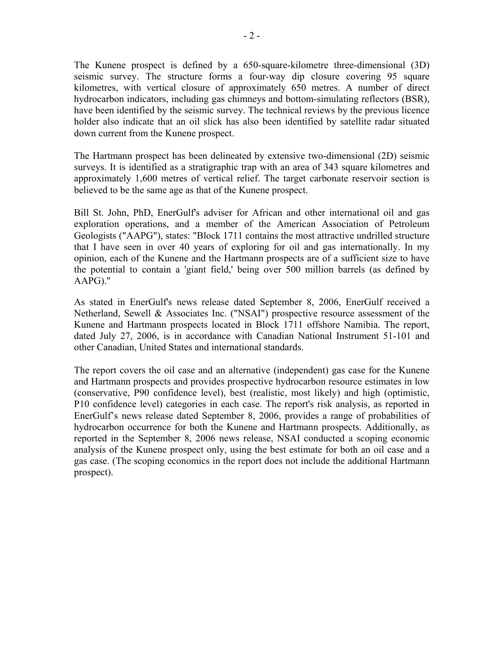The Kunene prospect is defined by a 650-square-kilometre three-dimensional (3D) seismic survey. The structure forms a four-way dip closure covering 95 square kilometres, with vertical closure of approximately 650 metres. A number of direct hydrocarbon indicators, including gas chimneys and bottom-simulating reflectors (BSR), have been identified by the seismic survey. The technical reviews by the previous licence holder also indicate that an oil slick has also been identified by satellite radar situated down current from the Kunene prospect.

The Hartmann prospect has been delineated by extensive two-dimensional (2D) seismic surveys. It is identified as a stratigraphic trap with an area of 343 square kilometres and approximately 1,600 metres of vertical relief. The target carbonate reservoir section is believed to be the same age as that of the Kunene prospect.

Bill St. John, PhD, EnerGulf's adviser for African and other international oil and gas exploration operations, and a member of the American Association of Petroleum Geologists ("AAPG"), states: "Block 1711 contains the most attractive undrilled structure that I have seen in over 40 years of exploring for oil and gas internationally. In my opinion, each of the Kunene and the Hartmann prospects are of a sufficient size to have the potential to contain a 'giant field,' being over 500 million barrels (as defined by AAPG)."

As stated in EnerGulf's news release dated September 8, 2006, EnerGulf received a Netherland, Sewell & Associates Inc. ("NSAI") prospective resource assessment of the Kunene and Hartmann prospects located in Block 1711 offshore Namibia. The report, dated July 27, 2006, is in accordance with Canadian National Instrument 51-101 and other Canadian, United States and international standards.

The report covers the oil case and an alternative (independent) gas case for the Kunene and Hartmann prospects and provides prospective hydrocarbon resource estimates in low (conservative, P90 confidence level), best (realistic, most likely) and high (optimistic, P10 confidence level) categories in each case. The report's risk analysis, as reported in EnerGulf's news release dated September 8, 2006, provides a range of probabilities of hydrocarbon occurrence for both the Kunene and Hartmann prospects. Additionally, as reported in the September 8, 2006 news release, NSAI conducted a scoping economic analysis of the Kunene prospect only, using the best estimate for both an oil case and a gas case. (The scoping economics in the report does not include the additional Hartmann prospect).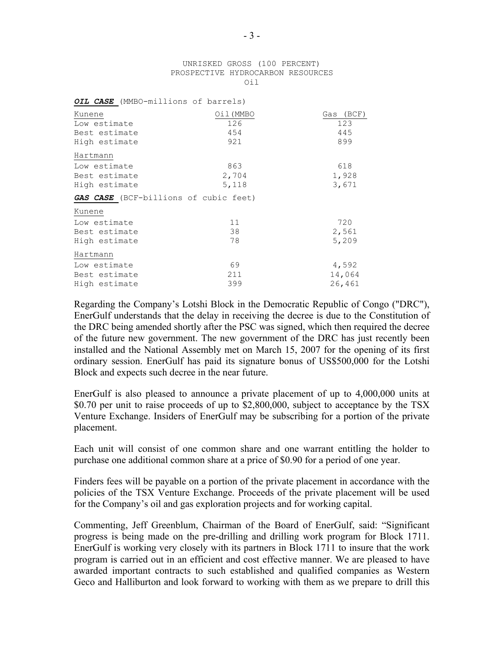| UNRISKED GROSS (100 PERCENT)      |      |  |
|-----------------------------------|------|--|
| PROSPECTIVE HYDROCARBON RESOURCES |      |  |
|                                   | Oi l |  |

| OIL CASE (MMBO-millions of barrels)   |           |           |
|---------------------------------------|-----------|-----------|
| Kunene                                | Oil (MMBO | Gas (BCF) |
| Low estimate                          | 126       | 123       |
| Best estimate                         | 454       | 445       |
| High estimate                         | 921       | 899       |
| Hartmann                              |           |           |
| Low estimate                          | 863       | 618       |
| Best estimate                         | 2,704     | 1,928     |
| High estimate                         | 5,118     | 3,671     |
| GAS CASE (BCF-billions of cubic feet) |           |           |
| Kunene                                |           |           |
| Low estimate                          | 11        | 720       |
| Best estimate                         | 38        | 2,561     |
| High estimate                         | 78        | 5,209     |
| Hartmann                              |           |           |
| Low estimate                          | 69        | 4,592     |
| Best estimate                         | 211       | 14,064    |
| High estimate                         | 399       | 26,461    |

Regarding the Company's Lotshi Block in the Democratic Republic of Congo ("DRC"), EnerGulf understands that the delay in receiving the decree is due to the Constitution of the DRC being amended shortly after the PSC was signed, which then required the decree of the future new government. The new government of the DRC has just recently been installed and the National Assembly met on March 15, 2007 for the opening of its first ordinary session. EnerGulf has paid its signature bonus of US\$500,000 for the Lotshi Block and expects such decree in the near future.

EnerGulf is also pleased to announce a private placement of up to 4,000,000 units at \$0.70 per unit to raise proceeds of up to \$2,800,000, subject to acceptance by the TSX Venture Exchange. Insiders of EnerGulf may be subscribing for a portion of the private placement.

Each unit will consist of one common share and one warrant entitling the holder to purchase one additional common share at a price of \$0.90 for a period of one year.

Finders fees will be payable on a portion of the private placement in accordance with the policies of the TSX Venture Exchange. Proceeds of the private placement will be used for the Company's oil and gas exploration projects and for working capital.

Commenting, Jeff Greenblum, Chairman of the Board of EnerGulf, said: "Significant progress is being made on the pre-drilling and drilling work program for Block 1711. EnerGulf is working very closely with its partners in Block 1711 to insure that the work program is carried out in an efficient and cost effective manner. We are pleased to have awarded important contracts to such established and qualified companies as Western Geco and Halliburton and look forward to working with them as we prepare to drill this